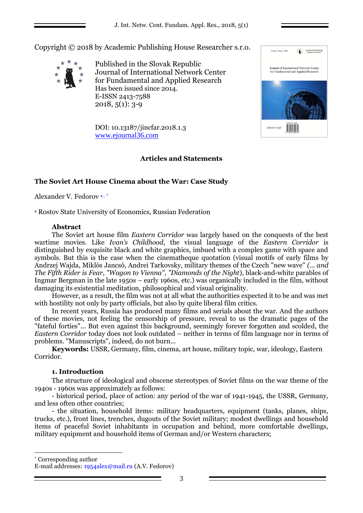Copyright © 2018 by Academic Publishing House Researcher s.r.o.



Published in the Slovak Republic Journal of International Network Center for Fundamental and Applied Research Has been issued since 2014. E-ISSN 2413-7588  $2018, 5(1): 3-9$ 

Volume 1, Issue 1, 2015 Academic Publishin<br>House Researcher Journal of International Network Center<br>for Fundamental and Applied Research ISSN 2411-3239 

DOI: 10.13187/jincfar.2018.1.3 [www.ejournal36.com](http://www.ejournal8.com/)

# **Articles and Statements**

# **The Soviet Art House Cinema about the War: Case Study**

Alexander V. Fedorov <sup>a</sup> , \*

<sup>a</sup> Rostov State University of Economics, Russian Federation

### **Abstract**

The Soviet art house film *Eastern Corridor* was largely based on the conquests of the best wartime movies. Like *Ivan's Childhood*, the visual language of the *Eastern Corridor* is distinguished by exquisite black and white graphics, imbued with a complex game with space and symbols. But this is the case when the cinematheque quotation (visual motifs of early films by Andrzej Wajda, Miklós Jancsó, Andrei Tarkovsky, military themes of the Czech "new wave" *(... and The Fifth Rider is Fear, "Wagon to Vienna", "Diamonds of the Night*), black-and-white parables of Ingmar Bergman in the late 1950s – early 1960s, etc.) was organically included in the film, without damaging its existential meditation, philosophical and visual originality.

However, as a result, the film was not at all what the authorities expected it to be and was met with hostility not only by party officials, but also by quite liberal film critics.

In recent years, Russia has produced many films and serials about the war. And the authors of these movies, not feeling the censorship of pressure, reveal to us the dramatic pages of the "fateful forties"... But even against this background, seemingly forever forgotten and scolded, the *Eastern Corridor* today does not look outdated – neither in terms of film language nor in terms of problems. "Manuscripts", indeed, do not burn...

**Keywords:** USSR, Germany, film, cinema, art house, military topic, war, ideology, Eastern Corridor.

# **1. Introduction**

The structure of ideological and obscene stereotypes of Soviet films on the war theme of the 1940s - 1960s was approximately as follows:

- historical period, place of action: any period of the war of 1941-1945, the USSR, Germany, and less often other countries;

- the situation, household items: military headquarters, equipment (tanks, planes, ships, trucks, etc.), front lines, trenches, dugouts of the Soviet military; modest dwellings and household items of peaceful Soviet inhabitants in occupation and behind, more comfortable dwellings, military equipment and household items of German and/or Western characters;

\* Corresponding author

1

E-mail addresses: 1954alex@mail.ru (A.V. Fedorov)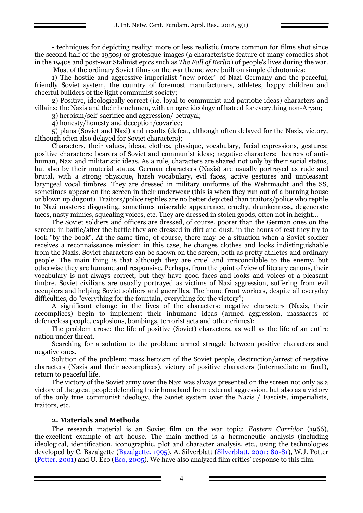- techniques for depicting reality: more or less realistic (more common for films shot since the second half of the 1950s) or grotesque images (a characteristic feature of many comedies shot in the 1940s and post-war Stalinist epics such as *The Fall of Berlin*) of people's lives during the war. Most of the ordinary Soviet films on the war theme were built on simple dichotomies:

1) The hostile and aggressive imperialist "new order" of Nazi Germany and the peaceful, friendly Soviet system, the country of foremost manufacturers, athletes, happy children and cheerful builders of the light communist society;

2) Positive, ideologically correct (i.e. loyal to communist and patriotic ideas) characters and villains: the Nazis and their henchmen, with an ogre ideology of hatred for everything non-Aryan;

3) heroism/self-sacrifice and aggression/ betrayal;

4) honesty/honesty and deception/covarice;

5) plans (Soviet and Nazi) and results (defeat, although often delayed for the Nazis, victory, although often also delayed for Soviet characters);

Characters, their values, ideas, clothes, physique, vocabulary, facial expressions, gestures: positive characters: bearers of Soviet and communist ideas; negative characters: bearers of antihuman, Nazi and militaristic ideas. As a rule, characters are shared not only by their social status, but also by their material status. German characters (Nazis) are usually portrayed as rude and brutal, with a strong physique, harsh vocabulary, evil faces, active gestures and unpleasant laryngeal vocal timbres. They are dressed in military uniforms of the Wehrmacht and the SS, sometimes appear on the screen in their underwear (this is when they run out of a burning house or blown up dugout). Traitors/police reptiles are no better depicted than traitors/police who reptile to Nazi masters: disgusting, sometimes miserable appearance, cruelty, drunkenness, degenerate faces, nasty mimics, squealing voices, etc. They are dressed in stolen goods, often not in height...

The Soviet soldiers and officers are dressed, of course, poorer than the German ones on the screen: in battle/after the battle they are dressed in dirt and dust, in the hours of rest they try to look "by the book". At the same time, of course, there may be a situation when a Soviet soldier receives a reconnaissance mission: in this case, he changes clothes and looks indistinguishable from the Nazis. Soviet characters can be shown on the screen, both as pretty athletes and ordinary people. The main thing is that although they are cruel and irreconcilable to the enemy, but otherwise they are humane and responsive. Perhaps, from the point of view of literary canons, their vocabulary is not always correct, but they have good faces and looks and voices of a pleasant timbre. Soviet civilians are usually portrayed as victims of Nazi aggression, suffering from evil occupiers and helping Soviet soldiers and guerrillas. The home front workers, despite all everyday difficulties, do "everything for the fountain, everything for the victory";

A significant change in the lives of the characters: negative characters (Nazis, their accomplices) begin to implement their inhumane ideas (armed aggression, massacres of defenceless people, explosions, bombings, terrorist acts and other crimes);

The problem arose: the life of positive (Soviet) characters, as well as the life of an entire nation under threat.

Searching for a solution to the problem: armed struggle between positive characters and negative ones.

Solution of the problem: mass heroism of the Soviet people, destruction/arrest of negative characters (Nazis and their accomplices), victory of positive characters (intermediate or final), return to peaceful life.

The victory of the Soviet army over the Nazi was always presented on the screen not only as a victory of the great people defending their homeland from external aggression, but also as a victory of the only true communist ideology, the Soviet system over the Nazis / Fascists, imperialists, traitors, etc.

### **2. Materials and Methods**

The research material is an Soviet film on the war topic: *Eastern Corridor* (1966), the excellent example of art house. The main method is a hermeneutic analysis (including ideological, identification, iconographic, plot and character analysis, etc., using the technologies developed by C. Bazalgette (Bazalgette, 1995), A. Silverblatt (Silverblatt, 2001: 80-81), W.J. Potter (Potter, 2001) and U. Eco (Eco, 2005). We have also analyzed film critics' response to this film.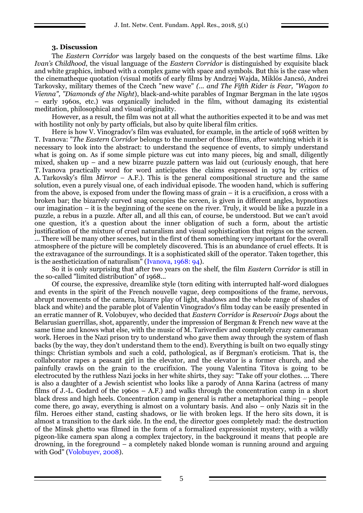#### **3. Discussion**

The *Eastern Corridor* was largely based on the conquests of the best wartime films. Like *Ivan's Childhood*, the visual language of the *Eastern Corridor* is distinguished by exquisite black and white graphics, imbued with a complex game with space and symbols. But this is the case when the cinematheque quotation (visual motifs of early films by Andrzej Wajda, Miklós Jancsó, Andrei Tarkovsky, military themes of the Czech "new wave" *(... and The Fifth Rider is Fear, "Wagon to Vienna", "Diamonds of the Night*), black-and-white parables of Ingmar Bergman in the late 1950s – early 1960s, etc.) was organically included in the film, without damaging its existential meditation, philosophical and visual originality.

However, as a result, the film was not at all what the authorities expected it to be and was met with hostility not only by party officials, but also by quite liberal film critics.

Here is how V. Vinogradov's film was evaluated, for example, in the article of 1968 written by T. Ivanova: "*The Eastern Corridor* belongs to the number of those films, after watching which it is necessary to look into the abstract: to understand the sequence of events, to simply understand what is going on. As if some simple picture was cut into many pieces, big and small, diligently mixed, shaken up – and a new bizarre puzzle pattern was laid out (curiously enough, that here T. Ivanova practically word for word anticipates the claims expressed in 1974 by critics of A. Tarkovsky's film *Mirror* – A.F.). This is the general compositional structure and the same solution, even a purely visual one, of each individual episode. The wooden hand, which is suffering from the above, is exposed from under the flowing mass of grain – it is a crucifixion, a cross with a broken bar; the bizarrely curved snag occupies the screen, is given in different angles, hypnotizes our imagination – it is the beginning of the scene on the river. Truly, it would be like a puzzle in a puzzle, a rebus in a puzzle. After all, and all this can, of course, be understood. But we can't avoid one question, it's a question about the inner obligation of such a form, about the artistic justification of the mixture of cruel naturalism and visual sophistication that reigns on the screen. ... There will be many other scenes, but in the first of them something very important for the overall atmosphere of the picture will be completely discovered. This is an abundance of cruel effects. It is the extravagance of the surroundings. It is a sophisticated skill of the operator. Taken together, this is the aestheticization of naturalism" (Ivanova, 1968: 94).

So it is only surprising that after two years on the shelf, the film *Eastern Corridor* is still in the so-called "limited distribution" of 1968...

Of course, the expressive, dreamlike style (torn editing with interrupted half-word dialogues and events in the spirit of the French nouvelle vague, deep compositions of the frame, nervous, abrupt movements of the camera, bizarre play of light, shadows and the whole range of shades of black and white) and the parable plot of Valentin Vinogradov's film today can be easily presented in an erratic manner of R. Volobuyev, who decided that *Eastern Corridor* is *Reservoir Dogs* about the Belarusian guerrillas, shot, apparently, under the impression of Bergman & French new wave at the same time and knows what else, with the music of M. Tariverdiev and completely crazy cameraman work. Heroes in the Nazi prison try to understand who gave them away through the system of flash backs (by the way, they don't understand them to the end). Everything is built on two equally stingy things: Christian symbols and such a cold, pathological, as if Bergman's eroticism. That is, the collaborator rapes a peasant girl in the elevator, and the elevator is a former church, and she painfully crawls on the grain to the crucifixion. The young Valentina Titova is going to be electrocuted by the ruthless Nazi jocks in her white shirts, they say: "Take off your clothes. ... There is also a daughter of a Jewish scientist who looks like a parody of Anna Karina (actress of many films of J.-L. Godard of the 1960s – A.F.) and walks through the concentration camp in a short black dress and high heels. Concentration camp in general is rather a metaphorical thing – people come there, go away, everything is almost on a voluntary basis. And also – only Nazis sit in the film. Heroes either stand, casting shadows, or lie with broken legs. If the hero sits down, it is almost a transition to the dark side. In the end, the director goes completely mad: the destruction of the Minsk ghetto was filmed in the form of a formalized expressionist mystery, with a wildly pigeon-like camera span along a complex trajectory, in the background it means that people are drowning, in the foreground – a completely naked blonde woman is running around and arguing with God" (Volobuyev, 2008).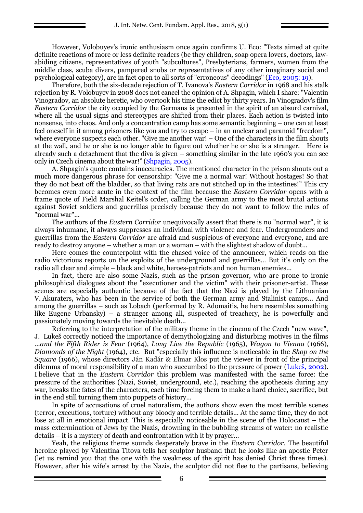However, Volobuyev's ironic enthusiasm once again confirms U. Eco: "Texts aimed at quite definite reactions of more or less definite readers (be they children, soap opera lovers, doctors, lawabiding citizens, representatives of youth "subcultures", Presbyterians, farmers, women from the middle class, scuba divers, pampered snobs or representatives of any other imaginary social and psychological category), are in fact open to all sorts of "erroneous" decodings" (Eco, 2005: 19).

Therefore, both the six-decade rejection of T. Ivanova's *Eastern Corridor* in 1968 and his stalk rejection by R. Volobuyev in 2008 does not cancel the opinion of A. Shpagin, which I share: "Valentin Vinogradov, an absolute heretic, who overtook his time the edict by thirty years. In Vinogradov's film *Eastern Corridor* the city occupied by the Germans is presented in the spirit of an absurd carnival, where all the usual signs and stereotypes are shifted from their places. Each action is twisted into nonsense, into chaos. And only a concentration camp has some semantic beginning – one can at least feel oneself in it among prisoners like you and try to escape – in an unclear and paranoid "freedom", where everyone suspects each other. "Give me another war! – One of the characters in the film shouts at the wall, and he or she is no longer able to figure out whether he or she is a stranger. Here is already such a detachment that the diva is given – something similar in the late 1960's you can see only in Czech cinema about the war!" (Shpagin, 2005).

A. Shpagin's quote contains inaccuracies. The mentioned character in the prison shouts out a much more dangerous phrase for censorship: "Give me a normal war! Without hostages! So that they do not beat off the bladder, so that living rats are not stitched up in the intestines!" This cry becomes even more acute in the context of the film because the *Eastern Corridor* opens with a frame quote of Field Marshal Keitel's order, calling the German army to the most brutal actions against Soviet soldiers and guerrillas precisely because they do not want to follow the rules of "normal war"...

The authors of the *Eastern Corridor* unequivocally assert that there is no "normal war", it is always inhumane, it always suppresses an individual with violence and fear. Undergrounders and guerrillas from the *Eastern Corridor* are afraid and suspicious of everyone and everyone, and are ready to destroy anyone – whether a man or a woman – with the slightest shadow of doubt...

Here comes the counterpoint with the chased voice of the announcer, which reads on the radio victorious reports on the exploits of the underground and guerrillas... But it's only on the radio all clear and simple – black and white, heroes-patriots and non human enemies...

In fact, there are also some Nazis, such as the prison governor, who are prone to ironic philosophical dialogues about the "executioner and the victim" with their prisoner-artist. These scenes are especially authentic because of the fact that the Nazi is played by the Lithuanian V. Akuraters, who has been in the service of both the German army and Stalinist camps... And among the guerrillas – such as Lobach (performed by R. Adomaitis, he here resembles something like Eugene Urbansky) – a stranger among all, suspected of treachery, he is powerfully and passionately moving towards the inevitable death...

Referring to the interpretation of the military theme in the cinema of the Czech "new wave", J. Lukeš correctly noticed the importance of demythologizing and disturbing motives in the films *...and the Fifth Rider is Fear* (1964), *Long Live the Republic* (1965), *Wagon to Vienna* (1966), *Diamonds of the Night* (1964), etc. But "especially this influence is noticeable in the *Shop on the Square* (1966), whose directors Ján Kadár & Elmar Klos put the viewer in front of the principal dilemma of moral responsibility of a man who succumbed to the pressure of power (Lukeš, 2002). I believe that in the *Eastern Corridor* this problem was manifested with the same force: the pressure of the authorities (Nazi, Soviet, underground, etc.), reaching the apotheosis during any war, breaks the fates of the characters, each time forcing them to make a hard choice, sacrifice, but in the end still turning them into puppets of history...

In spite of accusations of cruel naturalism, the authors show even the most terrible scenes (terror, executions, torture) without any bloody and terrible details... At the same time, they do not lose at all in emotional impact. This is especially noticeable in the scene of the Holocaust – the mass extermination of Jews by the Nazis, drowning in the bubbling streams of water: no realistic details – it is a mystery of death and confrontation with it by prayer...

Yeah, the religious theme sounds desperately brave in the *Eastern Corridor*. The beautiful heroine played by Valentina Titova tells her sculptor husband that he looks like an apostle Peter (let us remind you that the one with the weakness of the spirit has denied Christ three times). However, after his wife's arrest by the Nazis, the sculptor did not flee to the partisans, believing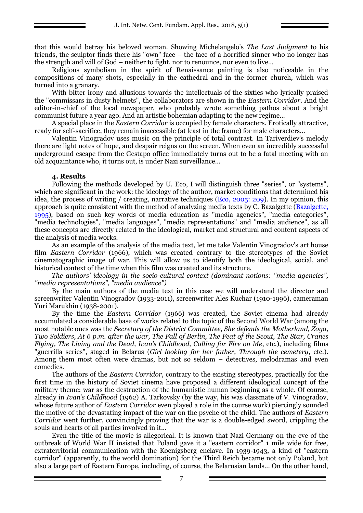that this would betray his beloved woman. Showing Michelangelo's *The Last Judgment* to his friends, the sculptor finds there his "own" face – the face of a horrified sinner who no longer has the strength and will of God – neither to fight, nor to renounce, nor even to live...

Religious symbolism in the spirit of Renaissance painting is also noticeable in the compositions of many shots, especially in the cathedral and in the former church, which was turned into a granary.

With bitter irony and allusions towards the intellectuals of the sixties who lyrically praised the "commissars in dusty helmets", the collaborators are shown in the *Eastern Corridor*. And the editor-in-chief of the local newspaper, who probably wrote something pathos about a bright communist future a year ago. And an artistic bohemian adapting to the new regime...

A special place in the *Eastern Corridor* is occupied by female characters. Erotically attractive, ready for self-sacrifice, they remain inaccessible (at least in the frame) for male characters...

Valentin Vinogradov uses music on the principle of total contrast. In Tariverdiev's melody there are light notes of hope, and despair reigns on the screen. When even an incredibly successful underground escape from the Gestapo office immediately turns out to be a fatal meeting with an old acquaintance who, it turns out, is under Nazi surveillance...

#### **4. Results**

Following the methods developed by U. Eco, I will distinguish three "series", or "systems", which are significant in the work: the ideology of the author, market conditions that determined his idea, the process of writing / creating, narrative techniques (Eco, 2005: 209). In my opinion, this approach is quite consistent with the method of analyzing media texts by C. Bazalgette (Bazalgette, 1995), based on such key words of media education as "media agencies", "media categories", "media technologies", "media languages", "media representations" and "media audience", as all these concepts are directly related to the ideological, market and structural and content aspects of the analysis of media works.

As an example of the analysis of the media text, let me take Valentin Vinogradov's art house film *Eastern Corridor* (1966), which was created contrary to the stereotypes of the Soviet cinematographic image of war. This will allow us to identify both the ideological, social, and historical context of the time when this film was created and its structure.

*The authors' ideology in the socio-cultural context (dominant notions: "media agencies", "media representations", "media audience")*

By the main authors of the media text in this case we will understand the director and screenwriter Valentin Vinogradov (1933-2011), screenwriter Ales Kuchar (1910-1996), cameraman Yuri Marukhin (1938-2001).

By the time the *Eastern Corridor* (1966) was created, the Soviet cinema had already accumulated a considerable base of works related to the topic of the Second World War (among the most notable ones was the *Secretary of the District Committee*, *She defends the Motherland, Zoya, Two Soldiers, At 6 p.m. after the war, The Fall of Berlin, The Feat of the Scout, The Star, Cranes Flying, The Living and the Dead, Ivan's Childhood, Calling for Fire on Me*, etc.), including films "guerrilla series", staged in Belarus (*Girl looking for her father, Through the cemetery*, etc.). Among them most often were dramas, but not so seldom – detectives, melodramas and even comedies.

The authors of the *Eastern Corridor*, contrary to the existing stereotypes, practically for the first time in the history of Soviet cinema have proposed a different ideological concept of the military theme: war as the destruction of the humanistic human beginning as a whole. Of course, already in *Ivan's Childhood* (1962) A. Tarkovsky (by the way, his was classmate of V. Vinogradov, whose future author of *Eastern Corridor* even played a role in the course work) piercingly sounded the motive of the devastating impact of the war on the psyche of the child. The authors of *Eastern Corridor* went further, convincingly proving that the war is a double-edged sword, crippling the souls and hearts of all parties involved in it...

Even the title of the movie is allegorical. It is known that Nazi Germany on the eve of the outbreak of World War II insisted that Poland gave it a "eastern corridor" 1 mile wide for free, extraterritorial communication with the Koenigsberg enclave. In 1939-1943, a kind of "eastern corridor" (apparently, to the world domination) for the Third Reich became not only Poland, but also a large part of Eastern Europe, including, of course, the Belarusian lands... On the other hand,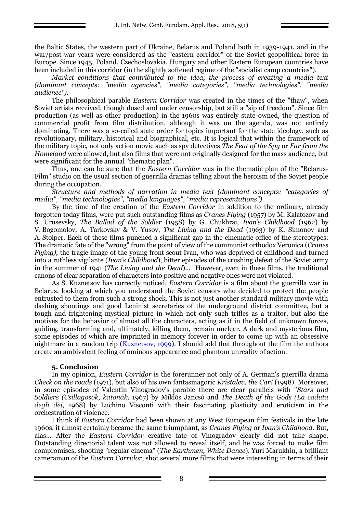the Baltic States, the western part of Ukraine, Belarus and Poland both in 1939-1941, and in the war/post-war years were considered as the "eastern corridor" of the Soviet geopolitical force in Europe. Since 1945, Poland, Czechoslovakia, Hungary and other Eastern European countries have been included in this corridor (in the slightly softened regime of the "socialist camp countries").

*Market conditions that contributed to the idea, the process of creating a media text (dominant concepts: "media agencies", "media categories", "media technologies", "media audience").*

The philosophical parable *Eastern Corridor* was created in the times of the "thaw", when Soviet artists received, though dosed and under censorship, but still a "sip of freedom". Since film production (as well as other production) in the 1960s was entirely state-owned, the question of commercial profit from film distribution, although it was on the agenda, was not entirely dominating. There was a so-called state order for topics important for the state ideology, such as revolutionary, military, historical and biographical, etc. It is logical that within the framework of the military topic, not only action movie such as spy detectives *The Feat of the Spy* or *Far from the Homeland* were allowed, but also films that were not originally designed for the mass audience, but were significant for the annual "thematic plan".

Thus, one can be sure that the *Eastern Corridor* was in the thematic plan of the "Belarus-Film" studio on the usual section of guerrilla dramas telling about the heroism of the Soviet people during the occupation.

*Structure and methods of narration in media text (dominant concepts: "categories of media", "media technologies", "media languages", "media representations").*

By the time of the creation of the *Eastern Corridor* in addition to the ordinary, already forgotten today films, were put such outstanding films as *Cranes Flying* (1957) by M. Kalatozov and S. Urusevsky, *The Ballad of the Soldier* (1958) by G. Chukhrai, *Ivan's Childhood* (1962) by V. Bogomolov, A. Tarkovsky & V. Yusov, *The Living and the Dead* (1963) by K. Simonov and A. Stolper. Each of these films punched a significant gap in the cinematic office of the stereotypes: The dramatic fate of the "wrong" from the point of view of the communist orthodox Veronica (*Cranes Flying),* the tragic image of the young front scout Ivan, who was deprived of childhood and turned into a ruthless vigilante (*Ivan's Childhood*), bitter episodes of the crushing defeat of the Soviet army in the summer of 1941 (*The Living and the Dead*)... However, even in these films, the traditional canons of clear separation of characters into positive and negative ones were not violated.

As S. Kuznetsov has correctly noticed, *Eastern Corridor* is a film about the guerrilla war in Belarus, looking at which you understand the Soviet censors who decided to protect the people entrusted to them from such a strong shock. This is not just another standard military movie with dashing shootings and good Leninist secretaries of the underground district committee, but a tough and frightening mystical picture in which not only such trifles as a traitor, but also the motives for the behavior of almost all the characters, acting as if in the field of unknown forces, guiding, transforming and, ultimately, killing them, remain unclear. A dark and mysterious film, some episodes of which are imprinted in memory forever in order to come up with an obsessive nightmare in a random trip (Kuznetsov, 1999). I should add that throughout the film the authors create an ambivalent feeling of ominous appearance and phantom unreality of action.

### **5. Conclusion**

In my opinion, *Eastern Corridor* is the forerunner not only of A. German's guerrilla drama *Check on the roads* (1971), but also of his own fantasmagoric *Kristalev, the Car!* (1998). Moreover, in some episodes of Valentin Vinogradov's parable there are clear parallels with "*Stars and Soldiers (Csillagosok, katonák,* 1967) by Miklós Jancsó and *The Death of the Gods (La caduta degli dei,* 1968) by Luchino Visconti with their fascinating plasticity and eroticism in the orchestration of violence.

I think if *Eastern Corridor* had been shown at any West European film festivals in the late 1960s, it almost certainly became the same triumphant, as *Cranes Flying* or *Ivan's Childhood*. But, alas... After the *Eastern Corridor* creative fate of Vinogradov clearly did not take shape. Outstanding directorial talent was not allowed to reveal itself, and he was forced to make film compromises, shooting "regular cinema" (*The Earthmen, White Dance*). Yuri Marukhin, a brilliant cameraman of the *Eastern Corridor*, shot several more films that were interesting in terms of their